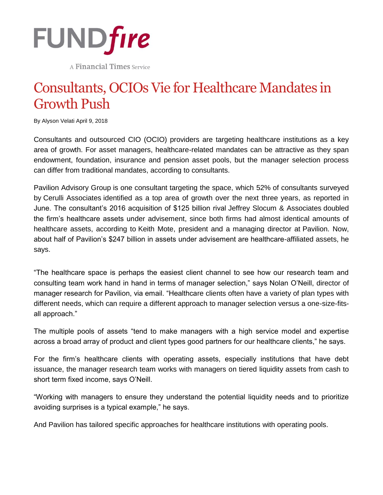

A Financial Times Service

## Consultants, OCIOs Vie for Healthcare Mandates in Growth Push

By Alyson Velati April 9, 2018

Consultants and outsourced CIO (OCIO) providers are targeting healthcare institutions as a key area of growth. For asset managers, healthcare-related mandates can be attractive as they span endowment, foundation, insurance and pension asset pools, but the manager selection process can differ from traditional mandates, according to consultants.

Pavilion Advisory Group is one consultant targeting the space, which 52% of consultants surveyed by Cerulli Associates identified as a top area of growth over the next three years, as reported in June. The consultant's 2016 acquisition of \$125 billion rival Jeffrey Slocum & Associates doubled the firm's healthcare assets under advisement, since both firms had almost identical amounts of healthcare assets, according to Keith Mote, president and a managing director at Pavilion. Now, about half of Pavilion's \$247 billion in assets under advisement are healthcare-affiliated assets, he says.

"The healthcare space is perhaps the easiest client channel to see how our research team and consulting team work hand in hand in terms of manager selection," says Nolan O'Neill, director of manager research for Pavilion, via email. "Healthcare clients often have a variety of plan types with different needs, which can require a different approach to manager selection versus a one-size-fitsall approach."

The multiple pools of assets "tend to make managers with a high service model and expertise across a broad array of product and client types good partners for our healthcare clients," he says.

For the firm's healthcare clients with operating assets, especially institutions that have debt issuance, the manager research team works with managers on tiered liquidity assets from cash to short term fixed income, says O'Neill.

"Working with managers to ensure they understand the potential liquidity needs and to prioritize avoiding surprises is a typical example," he says.

And Pavilion has tailored specific approaches for healthcare institutions with operating pools.